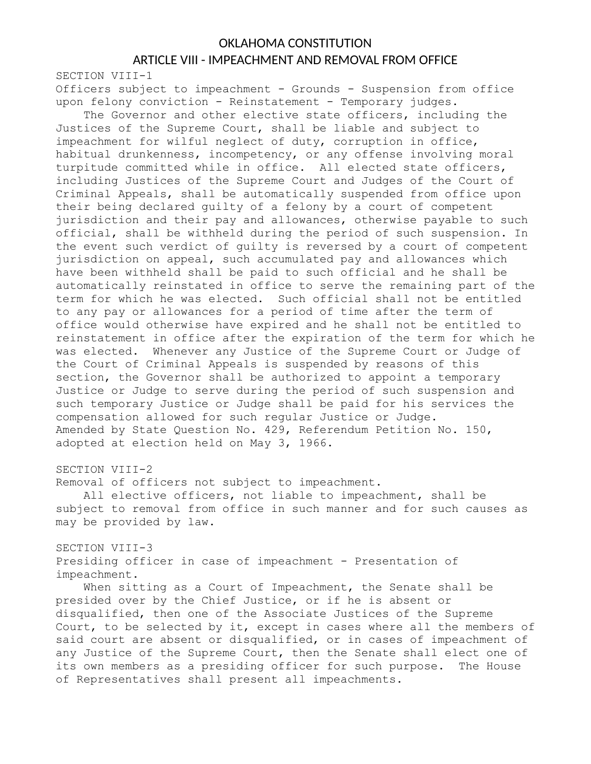## OKLAHOMA CONSTITUTION ARTICLE VIII - IMPEACHMENT AND REMOVAL FROM OFFICE

SECTION VIII-1 Officers subject to impeachment - Grounds - Suspension from office upon felony conviction - Reinstatement - Temporary judges.

The Governor and other elective state officers, including the Justices of the Supreme Court, shall be liable and subject to impeachment for wilful neglect of duty, corruption in office, habitual drunkenness, incompetency, or any offense involving moral turpitude committed while in office. All elected state officers, including Justices of the Supreme Court and Judges of the Court of Criminal Appeals, shall be automatically suspended from office upon their being declared guilty of a felony by a court of competent jurisdiction and their pay and allowances, otherwise payable to such official, shall be withheld during the period of such suspension. In the event such verdict of guilty is reversed by a court of competent jurisdiction on appeal, such accumulated pay and allowances which have been withheld shall be paid to such official and he shall be automatically reinstated in office to serve the remaining part of the term for which he was elected. Such official shall not be entitled to any pay or allowances for a period of time after the term of office would otherwise have expired and he shall not be entitled to reinstatement in office after the expiration of the term for which he was elected. Whenever any Justice of the Supreme Court or Judge of the Court of Criminal Appeals is suspended by reasons of this section, the Governor shall be authorized to appoint a temporary Justice or Judge to serve during the period of such suspension and such temporary Justice or Judge shall be paid for his services the compensation allowed for such regular Justice or Judge. Amended by State Question No. 429, Referendum Petition No. 150, adopted at election held on May 3, 1966.

SECTION VIII-2

Removal of officers not subject to impeachment.

All elective officers, not liable to impeachment, shall be subject to removal from office in such manner and for such causes as may be provided by law.

SECTION VIII-3

Presiding officer in case of impeachment - Presentation of impeachment.

When sitting as a Court of Impeachment, the Senate shall be presided over by the Chief Justice, or if he is absent or disqualified, then one of the Associate Justices of the Supreme Court, to be selected by it, except in cases where all the members of said court are absent or disqualified, or in cases of impeachment of any Justice of the Supreme Court, then the Senate shall elect one of its own members as a presiding officer for such purpose. The House of Representatives shall present all impeachments.